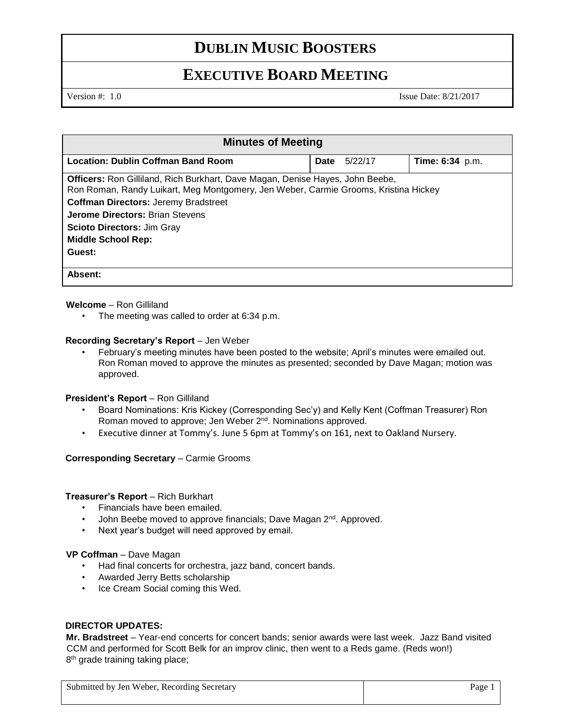## **DUBLIN MUSIC BOOSTERS**

## **EXECUTIVE BOARD MEETING**

Version #: 1.0 Issue Date: 8/21/2017

| <b>Minutes of Meeting</b>                                                                                                                                                   |             |         |                        |  |
|-----------------------------------------------------------------------------------------------------------------------------------------------------------------------------|-------------|---------|------------------------|--|
| <b>Location: Dublin Coffman Band Room</b>                                                                                                                                   | <b>Date</b> | 5/22/17 | <b>Time: 6:34</b> p.m. |  |
| <b>Officers:</b> Ron Gilliland, Rich Burkhart, Dave Magan, Denise Hayes, John Beebe,<br>Ron Roman, Randy Luikart, Meg Montgomery, Jen Weber, Carmie Grooms, Kristina Hickey |             |         |                        |  |
| <b>Coffman Directors: Jeremy Bradstreet</b>                                                                                                                                 |             |         |                        |  |
| <b>Jerome Directors: Brian Stevens</b>                                                                                                                                      |             |         |                        |  |
| <b>Scioto Directors: Jim Gray</b>                                                                                                                                           |             |         |                        |  |
| <b>Middle School Rep:</b>                                                                                                                                                   |             |         |                        |  |
| Guest:                                                                                                                                                                      |             |         |                        |  |
| Absent:                                                                                                                                                                     |             |         |                        |  |

#### **Welcome** – Ron Gilliland

• The meeting was called to order at 6:34 p.m.

#### **Recording Secretary's Report** – Jen Weber

• February's meeting minutes have been posted to the website; April's minutes were emailed out. Ron Roman moved to approve the minutes as presented; seconded by Dave Magan; motion was approved.

#### President's Report - Ron Gilliland

- Board Nominations: Kris Kickey (Corresponding Sec'y) and Kelly Kent (Coffman Treasurer) Ron Roman moved to approve; Jen Weber 2<sup>nd</sup>. Nominations approved.
- Executive dinner at Tommy's. June 5 6pm at Tommy's on 161, next to Oakland Nursery.

#### **Corresponding Secretary** – Carmie Grooms

#### **Treasurer's Report** – Rich Burkhart

- Financials have been emailed.
- John Beebe moved to approve financials; Dave Magan 2<sup>nd</sup>. Approved.
- Next year's budget will need approved by email.

#### **VP Coffman** – Dave Magan

- Had final concerts for orchestra, jazz band, concert bands.
- Awarded Jerry Betts scholarship
- Ice Cream Social coming this Wed.

### **DIRECTOR UPDATES:**

**Mr. Bradstreet** – Year-end concerts for concert bands; senior awards were last week. Jazz Band visited CCM and performed for Scott Belk for an improv clinic, then went to a Reds game. (Reds won!) 8<sup>th</sup> grade training taking place;

| Submitted by Jen Weber, Recording Secretary | Page 1 |
|---------------------------------------------|--------|
|---------------------------------------------|--------|